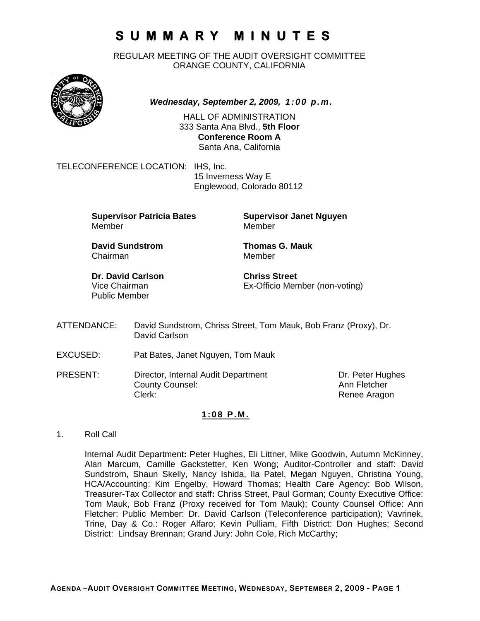REGULAR MEETING OF THE AUDIT OVERSIGHT COMMITTEE ORANGE COUNTY, CALIFORNIA



*Wednesday, September 2, 2009, 1:00 p.m.*

HALL OF ADMINISTRATION 333 Santa Ana Blvd., **5th Floor Conference Room A**  Santa Ana, California

TELECONFERENCE LOCATION: IHS, Inc.

 15 Inverness Way E Englewood, Colorado 80112

**Supervisor Patricia Bates Supervisor Janet Nguyen** Member Member

**David Sundstrom Thomas G. Mauk**  Chairman Member

**Dr. David Carlson Chriss Street** Public Member

Vice Chairman Ex-Officio Member (non-voting)

- ATTENDANCE: David Sundstrom, Chriss Street, Tom Mauk, Bob Franz (Proxy), Dr. David Carlson
- EXCUSED: Pat Bates, Janet Nguyen, Tom Mauk
- PRESENT: Director, Internal Audit Department Dr. Peter Hughes<br>County Counsel: Counsel: Ann Fletcher County Counsel: Clerk: Clerk: Clerk: Renee Aragon

#### **1:08 P.M.**

1. Roll Call

Internal Audit Department**:** Peter Hughes, Eli Littner, Mike Goodwin, Autumn McKinney, Alan Marcum, Camille Gackstetter, Ken Wong; Auditor-Controller and staff: David Sundstrom, Shaun Skelly, Nancy Ishida, Ila Patel, Megan Nguyen, Christina Young, HCA/Accounting: Kim Engelby, Howard Thomas; Health Care Agency: Bob Wilson, Treasurer-Tax Collector and staff**:** Chriss Street, Paul Gorman; County Executive Office: Tom Mauk, Bob Franz (Proxy received for Tom Mauk); County Counsel Office: Ann Fletcher; Public Member: Dr. David Carlson (Teleconference participation); Vavrinek, Trine, Day & Co.: Roger Alfaro; Kevin Pulliam, Fifth District: Don Hughes; Second District: Lindsay Brennan; Grand Jury: John Cole, Rich McCarthy;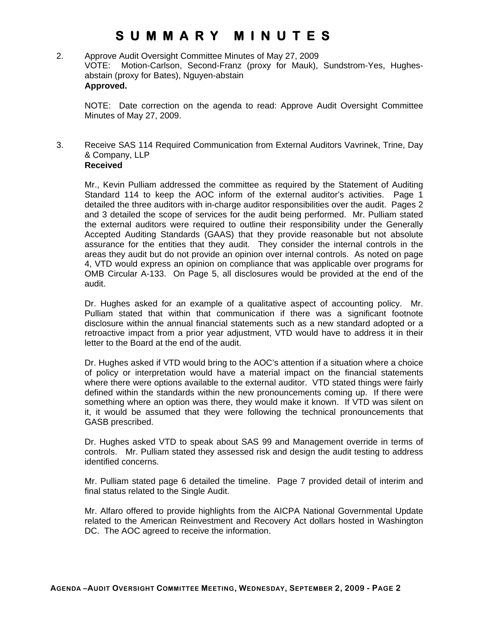#### 2. Approve Audit Oversight Committee Minutes of May 27, 2009 VOTE: Motion-Carlson, Second-Franz (proxy for Mauk), Sundstrom-Yes, Hughesabstain (proxy for Bates), Nguyen-abstain **Approved.**

NOTE: Date correction on the agenda to read: Approve Audit Oversight Committee Minutes of May 27, 2009.

#### 3. Receive SAS 114 Required Communication from External Auditors Vavrinek, Trine, Day & Company, LLP **Received**

 Mr., Kevin Pulliam addressed the committee as required by the Statement of Auditing Standard 114 to keep the AOC inform of the external auditor's activities. Page 1 detailed the three auditors with in-charge auditor responsibilities over the audit. Pages 2 and 3 detailed the scope of services for the audit being performed. Mr. Pulliam stated the external auditors were required to outline their responsibility under the Generally Accepted Auditing Standards (GAAS) that they provide reasonable but not absolute assurance for the entities that they audit. They consider the internal controls in the areas they audit but do not provide an opinion over internal controls. As noted on page 4, VTD would express an opinion on compliance that was applicable over programs for OMB Circular A-133. On Page 5, all disclosures would be provided at the end of the audit.

 Dr. Hughes asked for an example of a qualitative aspect of accounting policy. Mr. Pulliam stated that within that communication if there was a significant footnote disclosure within the annual financial statements such as a new standard adopted or a retroactive impact from a prior year adjustment, VTD would have to address it in their letter to the Board at the end of the audit.

 Dr. Hughes asked if VTD would bring to the AOC's attention if a situation where a choice of policy or interpretation would have a material impact on the financial statements where there were options available to the external auditor. VTD stated things were fairly defined within the standards within the new pronouncements coming up. If there were something where an option was there, they would make it known. If VTD was silent on it, it would be assumed that they were following the technical pronouncements that GASB prescribed.

 Dr. Hughes asked VTD to speak about SAS 99 and Management override in terms of controls. Mr. Pulliam stated they assessed risk and design the audit testing to address identified concerns.

 Mr. Pulliam stated page 6 detailed the timeline. Page 7 provided detail of interim and final status related to the Single Audit.

Mr. Alfaro offered to provide highlights from the AICPA National Governmental Update related to the American Reinvestment and Recovery Act dollars hosted in Washington DC. The AOC agreed to receive the information.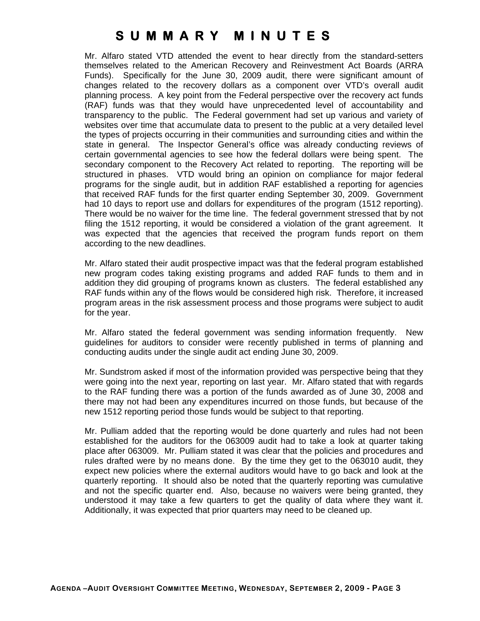Mr. Alfaro stated VTD attended the event to hear directly from the standard-setters themselves related to the American Recovery and Reinvestment Act Boards (ARRA Funds). Specifically for the June 30, 2009 audit, there were significant amount of changes related to the recovery dollars as a component over VTD's overall audit planning process. A key point from the Federal perspective over the recovery act funds (RAF) funds was that they would have unprecedented level of accountability and transparency to the public. The Federal government had set up various and variety of websites over time that accumulate data to present to the public at a very detailed level the types of projects occurring in their communities and surrounding cities and within the state in general. The Inspector General's office was already conducting reviews of certain governmental agencies to see how the federal dollars were being spent. The secondary component to the Recovery Act related to reporting. The reporting will be structured in phases. VTD would bring an opinion on compliance for major federal programs for the single audit, but in addition RAF established a reporting for agencies that received RAF funds for the first quarter ending September 30, 2009. Government had 10 days to report use and dollars for expenditures of the program (1512 reporting). There would be no waiver for the time line. The federal government stressed that by not filing the 1512 reporting, it would be considered a violation of the grant agreement. It was expected that the agencies that received the program funds report on them according to the new deadlines.

 Mr. Alfaro stated their audit prospective impact was that the federal program established new program codes taking existing programs and added RAF funds to them and in addition they did grouping of programs known as clusters. The federal established any RAF funds within any of the flows would be considered high risk. Therefore, it increased program areas in the risk assessment process and those programs were subject to audit for the year.

 Mr. Alfaro stated the federal government was sending information frequently. New guidelines for auditors to consider were recently published in terms of planning and conducting audits under the single audit act ending June 30, 2009.

 Mr. Sundstrom asked if most of the information provided was perspective being that they were going into the next year, reporting on last year. Mr. Alfaro stated that with regards to the RAF funding there was a portion of the funds awarded as of June 30, 2008 and there may not had been any expenditures incurred on those funds, but because of the new 1512 reporting period those funds would be subject to that reporting.

 Mr. Pulliam added that the reporting would be done quarterly and rules had not been established for the auditors for the 063009 audit had to take a look at quarter taking place after 063009. Mr. Pulliam stated it was clear that the policies and procedures and rules drafted were by no means done. By the time they get to the 063010 audit, they expect new policies where the external auditors would have to go back and look at the quarterly reporting. It should also be noted that the quarterly reporting was cumulative and not the specific quarter end. Also, because no waivers were being granted, they understood it may take a few quarters to get the quality of data where they want it. Additionally, it was expected that prior quarters may need to be cleaned up.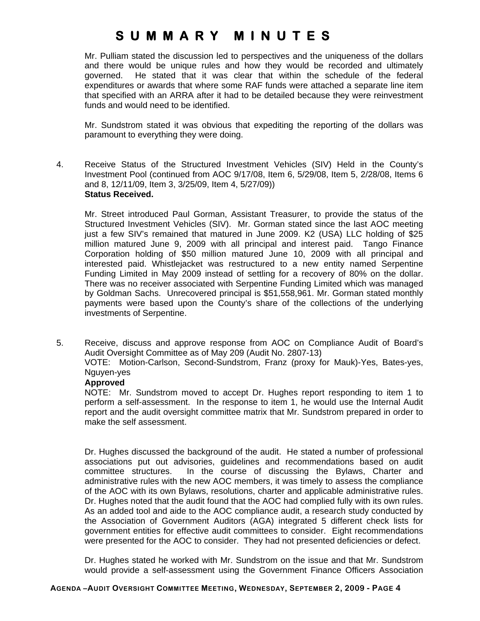Mr. Pulliam stated the discussion led to perspectives and the uniqueness of the dollars and there would be unique rules and how they would be recorded and ultimately governed. He stated that it was clear that within the schedule of the federal expenditures or awards that where some RAF funds were attached a separate line item that specified with an ARRA after it had to be detailed because they were reinvestment funds and would need to be identified.

 Mr. Sundstrom stated it was obvious that expediting the reporting of the dollars was paramount to everything they were doing.

4. Receive Status of the Structured Investment Vehicles (SIV) Held in the County's Investment Pool (continued from AOC 9/17/08, Item 6, 5/29/08, Item 5, 2/28/08, Items 6 and 8, 12/11/09, Item 3, 3/25/09, Item 4, 5/27/09)) **Status Received.** 

Mr. Street introduced Paul Gorman, Assistant Treasurer, to provide the status of the Structured Investment Vehicles (SIV). Mr. Gorman stated since the last AOC meeting just a few SIV's remained that matured in June 2009. K2 (USA) LLC holding of \$25 million matured June 9, 2009 with all principal and interest paid. Tango Finance Corporation holding of \$50 million matured June 10, 2009 with all principal and interested paid. Whistlejacket was restructured to a new entity named Serpentine Funding Limited in May 2009 instead of settling for a recovery of 80% on the dollar. There was no receiver associated with Serpentine Funding Limited which was managed by Goldman Sachs. Unrecovered principal is \$51,558,961. Mr. Gorman stated monthly payments were based upon the County's share of the collections of the underlying investments of Serpentine.

5. Receive, discuss and approve response from AOC on Compliance Audit of Board's Audit Oversight Committee as of May 209 (Audit No. 2807-13)

VOTE: Motion-Carlson, Second-Sundstrom, Franz (proxy for Mauk)-Yes, Bates-yes, Nguyen-yes

#### **Approved**

NOTE: Mr. Sundstrom moved to accept Dr. Hughes report responding to item 1 to perform a self-assessment. In the response to item 1, he would use the Internal Audit report and the audit oversight committee matrix that Mr. Sundstrom prepared in order to make the self assessment.

Dr. Hughes discussed the background of the audit. He stated a number of professional associations put out advisories, guidelines and recommendations based on audit committee structures. In the course of discussing the Bylaws, Charter and administrative rules with the new AOC members, it was timely to assess the compliance of the AOC with its own Bylaws, resolutions, charter and applicable administrative rules. Dr. Hughes noted that the audit found that the AOC had complied fully with its own rules. As an added tool and aide to the AOC compliance audit, a research study conducted by the Association of Government Auditors (AGA) integrated 5 different check lists for government entities for effective audit committees to consider. Eight recommendations were presented for the AOC to consider. They had not presented deficiencies or defect.

Dr. Hughes stated he worked with Mr. Sundstrom on the issue and that Mr. Sundstrom would provide a self-assessment using the Government Finance Officers Association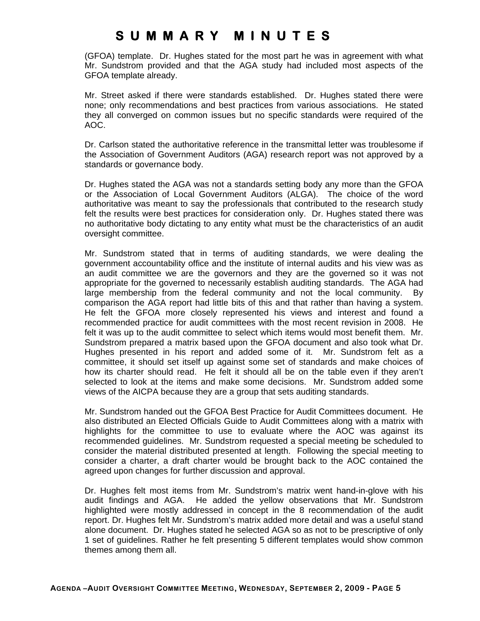(GFOA) template. Dr. Hughes stated for the most part he was in agreement with what Mr. Sundstrom provided and that the AGA study had included most aspects of the GFOA template already.

Mr. Street asked if there were standards established. Dr. Hughes stated there were none; only recommendations and best practices from various associations. He stated they all converged on common issues but no specific standards were required of the AOC.

Dr. Carlson stated the authoritative reference in the transmittal letter was troublesome if the Association of Government Auditors (AGA) research report was not approved by a standards or governance body.

Dr. Hughes stated the AGA was not a standards setting body any more than the GFOA or the Association of Local Government Auditors (ALGA). The choice of the word authoritative was meant to say the professionals that contributed to the research study felt the results were best practices for consideration only. Dr. Hughes stated there was no authoritative body dictating to any entity what must be the characteristics of an audit oversight committee.

Mr. Sundstrom stated that in terms of auditing standards, we were dealing the government accountability office and the institute of internal audits and his view was as an audit committee we are the governors and they are the governed so it was not appropriate for the governed to necessarily establish auditing standards. The AGA had large membership from the federal community and not the local community. By comparison the AGA report had little bits of this and that rather than having a system. He felt the GFOA more closely represented his views and interest and found a recommended practice for audit committees with the most recent revision in 2008. He felt it was up to the audit committee to select which items would most benefit them. Mr. Sundstrom prepared a matrix based upon the GFOA document and also took what Dr. Hughes presented in his report and added some of it. Mr. Sundstrom felt as a committee, it should set itself up against some set of standards and make choices of how its charter should read. He felt it should all be on the table even if they aren't selected to look at the items and make some decisions. Mr. Sundstrom added some views of the AICPA because they are a group that sets auditing standards.

Mr. Sundstrom handed out the GFOA Best Practice for Audit Committees document. He also distributed an Elected Officials Guide to Audit Committees along with a matrix with highlights for the committee to use to evaluate where the AOC was against its recommended guidelines. Mr. Sundstrom requested a special meeting be scheduled to consider the material distributed presented at length. Following the special meeting to consider a charter, a draft charter would be brought back to the AOC contained the agreed upon changes for further discussion and approval.

Dr. Hughes felt most items from Mr. Sundstrom's matrix went hand-in-glove with his audit findings and AGA. He added the yellow observations that Mr. Sundstrom highlighted were mostly addressed in concept in the 8 recommendation of the audit report. Dr. Hughes felt Mr. Sundstrom's matrix added more detail and was a useful stand alone document. Dr. Hughes stated he selected AGA so as not to be prescriptive of only 1 set of guidelines. Rather he felt presenting 5 different templates would show common themes among them all.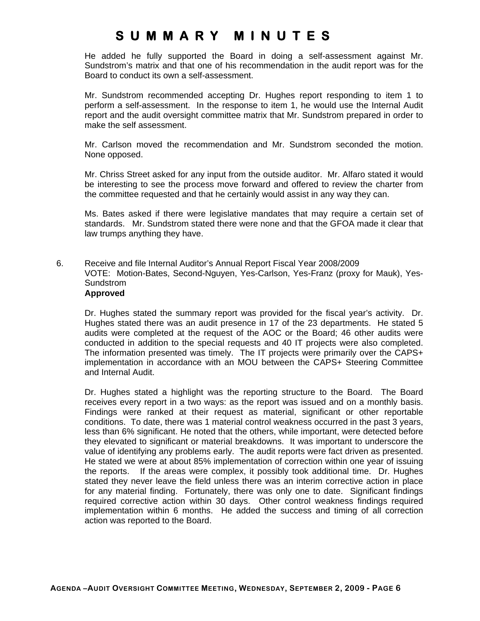He added he fully supported the Board in doing a self-assessment against Mr. Sundstrom's matrix and that one of his recommendation in the audit report was for the Board to conduct its own a self-assessment.

Mr. Sundstrom recommended accepting Dr. Hughes report responding to item 1 to perform a self-assessment. In the response to item 1, he would use the Internal Audit report and the audit oversight committee matrix that Mr. Sundstrom prepared in order to make the self assessment.

Mr. Carlson moved the recommendation and Mr. Sundstrom seconded the motion. None opposed.

Mr. Chriss Street asked for any input from the outside auditor. Mr. Alfaro stated it would be interesting to see the process move forward and offered to review the charter from the committee requested and that he certainly would assist in any way they can.

Ms. Bates asked if there were legislative mandates that may require a certain set of standards. Mr. Sundstrom stated there were none and that the GFOA made it clear that law trumps anything they have.

6. Receive and file Internal Auditor's Annual Report Fiscal Year 2008/2009 VOTE: Motion-Bates, Second-Nguyen, Yes-Carlson, Yes-Franz (proxy for Mauk), Yes-Sundstrom **Approved** 

Dr. Hughes stated the summary report was provided for the fiscal year's activity. Dr. Hughes stated there was an audit presence in 17 of the 23 departments. He stated 5 audits were completed at the request of the AOC or the Board; 46 other audits were conducted in addition to the special requests and 40 IT projects were also completed. The information presented was timely. The IT projects were primarily over the CAPS+ implementation in accordance with an MOU between the CAPS+ Steering Committee and Internal Audit.

Dr. Hughes stated a highlight was the reporting structure to the Board. The Board receives every report in a two ways: as the report was issued and on a monthly basis. Findings were ranked at their request as material, significant or other reportable conditions. To date, there was 1 material control weakness occurred in the past 3 years, less than 6% significant. He noted that the others, while important, were detected before they elevated to significant or material breakdowns. It was important to underscore the value of identifying any problems early. The audit reports were fact driven as presented. He stated we were at about 85% implementation of correction within one year of issuing the reports. If the areas were complex, it possibly took additional time. Dr. Hughes stated they never leave the field unless there was an interim corrective action in place for any material finding. Fortunately, there was only one to date. Significant findings required corrective action within 30 days. Other control weakness findings required implementation within 6 months. He added the success and timing of all correction action was reported to the Board.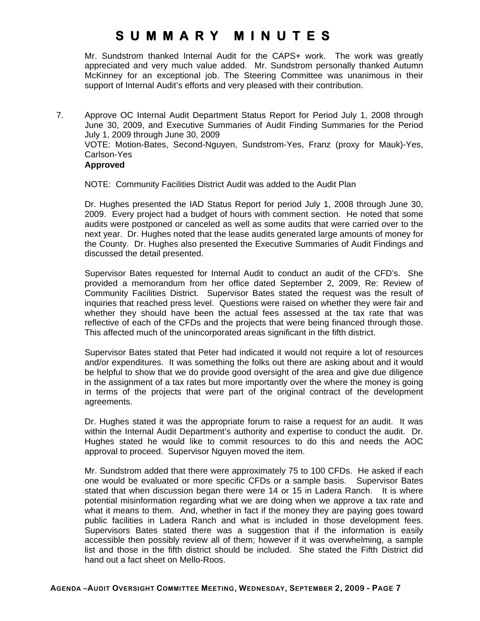Mr. Sundstrom thanked Internal Audit for the CAPS+ work. The work was greatly appreciated and very much value added. Mr. Sundstrom personally thanked Autumn McKinney for an exceptional job. The Steering Committee was unanimous in their support of Internal Audit's efforts and very pleased with their contribution.

7. Approve OC Internal Audit Department Status Report for Period July 1, 2008 through June 30, 2009, and Executive Summaries of Audit Finding Summaries for the Period July 1, 2009 through June 30, 2009 VOTE: Motion-Bates, Second-Nguyen, Sundstrom-Yes, Franz (proxy for Mauk)-Yes, Carlson-Yes **Approved** 

NOTE: Community Facilities District Audit was added to the Audit Plan

Dr. Hughes presented the IAD Status Report for period July 1, 2008 through June 30, 2009. Every project had a budget of hours with comment section. He noted that some audits were postponed or canceled as well as some audits that were carried over to the next year. Dr. Hughes noted that the lease audits generated large amounts of money for the County. Dr. Hughes also presented the Executive Summaries of Audit Findings and discussed the detail presented.

Supervisor Bates requested for Internal Audit to conduct an audit of the CFD's. She provided a memorandum from her office dated September 2, 2009, Re: Review of Community Facilities District. Supervisor Bates stated the request was the result of inquiries that reached press level. Questions were raised on whether they were fair and whether they should have been the actual fees assessed at the tax rate that was reflective of each of the CFDs and the projects that were being financed through those. This affected much of the unincorporated areas significant in the fifth district.

Supervisor Bates stated that Peter had indicated it would not require a lot of resources and/or expenditures. It was something the folks out there are asking about and it would be helpful to show that we do provide good oversight of the area and give due diligence in the assignment of a tax rates but more importantly over the where the money is going in terms of the projects that were part of the original contract of the development agreements.

Dr. Hughes stated it was the appropriate forum to raise a request for an audit. It was within the Internal Audit Department's authority and expertise to conduct the audit. Dr. Hughes stated he would like to commit resources to do this and needs the AOC approval to proceed. Supervisor Nguyen moved the item.

Mr. Sundstrom added that there were approximately 75 to 100 CFDs. He asked if each one would be evaluated or more specific CFDs or a sample basis. Supervisor Bates stated that when discussion began there were 14 or 15 in Ladera Ranch. It is where potential misinformation regarding what we are doing when we approve a tax rate and what it means to them. And, whether in fact if the money they are paying goes toward public facilities in Ladera Ranch and what is included in those development fees. Supervisors Bates stated there was a suggestion that if the information is easily accessible then possibly review all of them; however if it was overwhelming, a sample list and those in the fifth district should be included. She stated the Fifth District did hand out a fact sheet on Mello-Roos.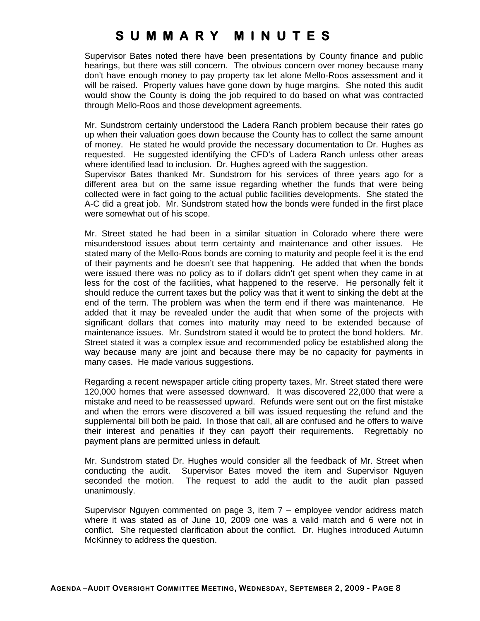Supervisor Bates noted there have been presentations by County finance and public hearings, but there was still concern. The obvious concern over money because many don't have enough money to pay property tax let alone Mello-Roos assessment and it will be raised. Property values have gone down by huge margins. She noted this audit would show the County is doing the job required to do based on what was contracted through Mello-Roos and those development agreements.

Mr. Sundstrom certainly understood the Ladera Ranch problem because their rates go up when their valuation goes down because the County has to collect the same amount of money. He stated he would provide the necessary documentation to Dr. Hughes as requested. He suggested identifying the CFD's of Ladera Ranch unless other areas where identified lead to inclusion. Dr. Hughes agreed with the suggestion.

Supervisor Bates thanked Mr. Sundstrom for his services of three years ago for a different area but on the same issue regarding whether the funds that were being collected were in fact going to the actual public facilities developments. She stated the A-C did a great job. Mr. Sundstrom stated how the bonds were funded in the first place were somewhat out of his scope.

Mr. Street stated he had been in a similar situation in Colorado where there were misunderstood issues about term certainty and maintenance and other issues. He stated many of the Mello-Roos bonds are coming to maturity and people feel it is the end of their payments and he doesn't see that happening. He added that when the bonds were issued there was no policy as to if dollars didn't get spent when they came in at less for the cost of the facilities, what happened to the reserve. He personally felt it should reduce the current taxes but the policy was that it went to sinking the debt at the end of the term. The problem was when the term end if there was maintenance. He added that it may be revealed under the audit that when some of the projects with significant dollars that comes into maturity may need to be extended because of maintenance issues. Mr. Sundstrom stated it would be to protect the bond holders. Mr. Street stated it was a complex issue and recommended policy be established along the way because many are joint and because there may be no capacity for payments in many cases. He made various suggestions.

Regarding a recent newspaper article citing property taxes, Mr. Street stated there were 120,000 homes that were assessed downward. It was discovered 22,000 that were a mistake and need to be reassessed upward. Refunds were sent out on the first mistake and when the errors were discovered a bill was issued requesting the refund and the supplemental bill both be paid. In those that call, all are confused and he offers to waive their interest and penalties if they can payoff their requirements. Regrettably no payment plans are permitted unless in default.

Mr. Sundstrom stated Dr. Hughes would consider all the feedback of Mr. Street when conducting the audit. Supervisor Bates moved the item and Supervisor Nguyen seconded the motion. The request to add the audit to the audit plan passed unanimously.

Supervisor Nguyen commented on page 3, item 7 – employee vendor address match where it was stated as of June 10, 2009 one was a valid match and 6 were not in conflict. She requested clarification about the conflict. Dr. Hughes introduced Autumn McKinney to address the question.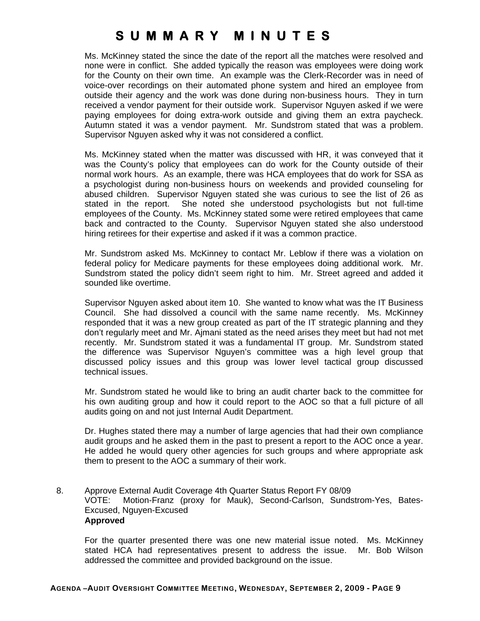Ms. McKinney stated the since the date of the report all the matches were resolved and none were in conflict. She added typically the reason was employees were doing work for the County on their own time. An example was the Clerk-Recorder was in need of voice-over recordings on their automated phone system and hired an employee from outside their agency and the work was done during non-business hours. They in turn received a vendor payment for their outside work. Supervisor Nguyen asked if we were paying employees for doing extra-work outside and giving them an extra paycheck. Autumn stated it was a vendor payment. Mr. Sundstrom stated that was a problem. Supervisor Nguyen asked why it was not considered a conflict.

Ms. McKinney stated when the matter was discussed with HR, it was conveyed that it was the County's policy that employees can do work for the County outside of their normal work hours. As an example, there was HCA employees that do work for SSA as a psychologist during non-business hours on weekends and provided counseling for abused children. Supervisor Nguyen stated she was curious to see the list of 26 as stated in the report. She noted she understood psychologists but not full-time employees of the County. Ms. McKinney stated some were retired employees that came back and contracted to the County. Supervisor Nguyen stated she also understood hiring retirees for their expertise and asked if it was a common practice.

Mr. Sundstrom asked Ms. McKinney to contact Mr. Leblow if there was a violation on federal policy for Medicare payments for these employees doing additional work. Mr. Sundstrom stated the policy didn't seem right to him. Mr. Street agreed and added it sounded like overtime.

Supervisor Nguyen asked about item 10. She wanted to know what was the IT Business Council. She had dissolved a council with the same name recently. Ms. McKinney responded that it was a new group created as part of the IT strategic planning and they don't regularly meet and Mr. Ajmani stated as the need arises they meet but had not met recently. Mr. Sundstrom stated it was a fundamental IT group. Mr. Sundstrom stated the difference was Supervisor Nguyen's committee was a high level group that discussed policy issues and this group was lower level tactical group discussed technical issues.

 Mr. Sundstrom stated he would like to bring an audit charter back to the committee for his own auditing group and how it could report to the AOC so that a full picture of all audits going on and not just Internal Audit Department.

 Dr. Hughes stated there may a number of large agencies that had their own compliance audit groups and he asked them in the past to present a report to the AOC once a year. He added he would query other agencies for such groups and where appropriate ask them to present to the AOC a summary of their work.

8. Approve External Audit Coverage 4th Quarter Status Report FY 08/09 VOTE: Motion-Franz (proxy for Mauk), Second-Carlson, Sundstrom-Yes, Bates-Excused, Nguyen-Excused  **Approved** 

For the quarter presented there was one new material issue noted. Ms. McKinney stated HCA had representatives present to address the issue. Mr. Bob Wilson addressed the committee and provided background on the issue.